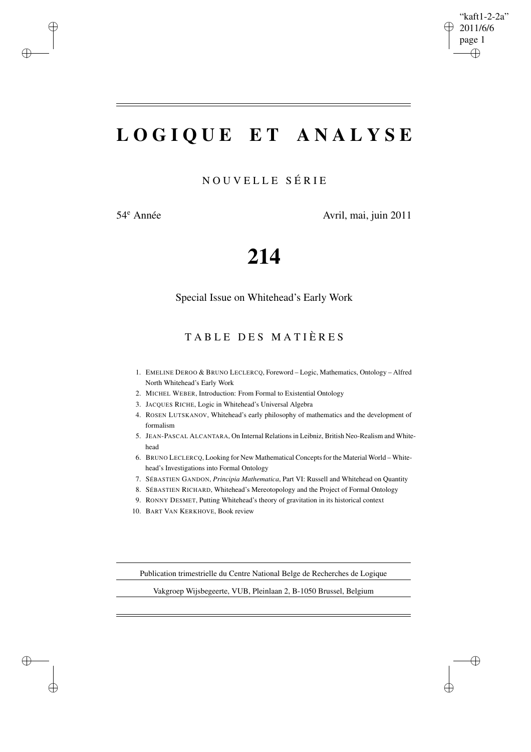$\bigoplus$ 

✐

# **L O G I Q U E E T A N A L Y S E**

N O U V E L L E S É R I E

✐

✐

✐

✐

54<sup>e</sup> Année Avril, mai, juin 2011

# **214**

Special Issue on Whitehead's Early Work

TABLE DES MATIÈRES

- 1. EMELINE DEROO & BRUNO LECLERCQ, Foreword Logic, Mathematics, Ontology Alfred North Whitehead's Early Work
- 2. MICHEL WEBER, Introduction: From Formal to Existential Ontology
- 3. JACQUES RICHE, Logic in Whitehead's Universal Algebra
- 4. ROSEN LUTSKANOV, Whitehead's early philosophy of mathematics and the development of formalism
- 5. JEAN-PASCAL ALCANTARA, On Internal Relationsin Leibniz, British Neo-Realism and Whitehead
- 6. BRUNO LECLERCQ, Looking for New Mathematical Conceptsfor the Material World Whitehead's Investigations into Formal Ontology
- 7. SÉBASTIEN GANDON, *Principia Mathematica*, Part VI: Russell and Whitehead on Quantity
- 8. SÉBASTIEN RICHARD, Whitehead's Mereotopology and the Project of Formal Ontology
- 9. RONNY DESMET, Putting Whitehead's theory of gravitation in its historical context
- 10. BART VAN KERKHOVE, Book review

Publication trimestrielle du Centre National Belge de Recherches de Logique

Vakgroep Wijsbegeerte, VUB, Pleinlaan 2, B-1050 Brussel, Belgium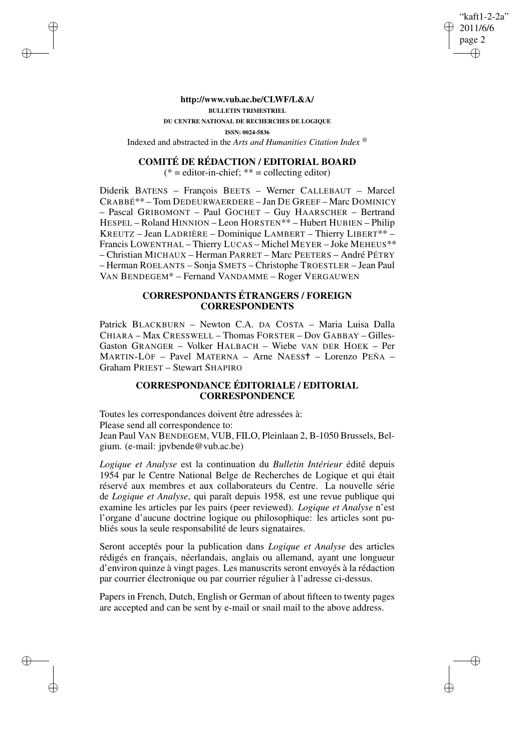#### "kaft1-2-2a" 2011/6/6 page 2 ✐ ✐

✐

✐

## **http://www.vub.ac.be/CLWF/L&A/ BULLETIN TRIMESTRIEL DU CENTRE NATIONAL DE RECHERCHES DE LOGIQUE ISSN: 0024-5836** Indexed and abstracted in the *Arts and Humanities Citation Index* ®

✐

✐

✐

✐

#### **COMITÉ DE RÉDACTION / EDITORIAL BOARD**

 $(* = editor-in\text{-}chief; ** = collecting editor)$ 

Diderik BATENS – François BEETS – Werner CALLEBAUT – Marcel CRABBÉ\*\* – Tom DEDEURWAERDERE – Jan DE GREEF – Marc DOMINICY – Pascal GRIBOMONT – Paul GOCHET – Guy HAARSCHER – Bertrand HESPEL – Roland HINNION – Leon HORSTEN\*\* – Hubert HUBIEN – Philip KREUTZ – Jean LADRIÈRE – Dominique LAMBERT – Thierry LIBERT\*\* – Francis LOWENTHAL – Thierry LUCAS – Michel MEYER – Joke MEHEUS\*\* – Christian MICHAUX – Herman PARRET – Marc PEETERS – André PÉTRY – Herman ROELANTS – Sonja SMETS – Christophe TROESTLER – Jean Paul VAN BENDEGEM\* – Fernand VANDAMME – Roger VERGAUWEN

### **CORRESPONDANTS ÉTRANGERS / FOREIGN CORRESPONDENTS**

Patrick BLACKBURN – Newton C.A. DA COSTA – Maria Luisa Dalla CHIARA – Max CRESSWELL – Thomas FORSTER – Dov GABBAY – Gilles-Gaston GRANGER – Volker HALBACH – Wiebe VAN DER HOEK – Per MARTIN-LÖF – Pavel MATERNA – Arne NAESS✝ – Lorenzo PEÑA – Graham PRIEST – Stewart SHAPIRO

## **CORRESPONDANCE ÉDITORIALE / EDITORIAL CORRESPONDENCE**

Toutes les correspondances doivent être adressées à: Please send all correspondence to: Jean Paul VAN BENDEGEM, VUB, FILO, Pleinlaan 2, B-1050 Brussels, Belgium. (e-mail: jpvbende@vub.ac.be)

*Logique et Analyse* est la continuation du *Bulletin Intérieur* édité depuis 1954 par le Centre National Belge de Recherches de Logique et qui était réservé aux membres et aux collaborateurs du Centre. La nouvelle série de *Logique et Analyse*, qui paraît depuis 1958, est une revue publique qui examine les articles par les pairs (peer reviewed). *Logique et Analyse* n'est l'organe d'aucune doctrine logique ou philosophique: les articles sont publiés sous la seule responsabilité de leurs signataires.

Seront acceptés pour la publication dans *Logique et Analyse* des articles rédigés en français, néerlandais, anglais ou allemand, ayant une longueur d'environ quinze à vingt pages. Les manuscrits seront envoyés à la rédaction par courrier électronique ou par courrier régulier à l'adresse ci-dessus.

Papers in French, Dutch, English or German of about fifteen to twenty pages are accepted and can be sent by e-mail or snail mail to the above address.